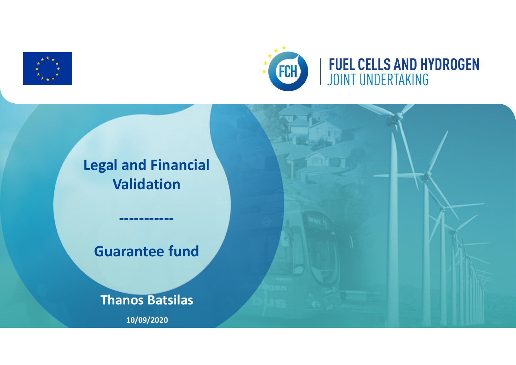



# **Legal and Financial Validation ----------- Guarantee fund Thanos Batsilas 10/09/2020**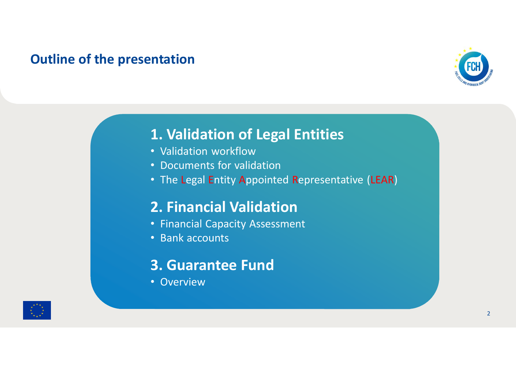#### **Outline of the presentation**



## **1. Validation of Legal Entities**

- Validation workflow
- Documents for validation
- The Legal Entity Appointed Representative (LEAR)

## **2. Financial Validation**

- Financial Capacity Assessment
- Bank accounts

## **3. Guarantee Fund**

• Overview

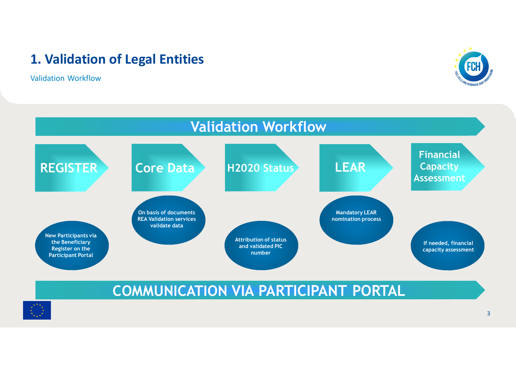Validation Workflow





## **COMMUNICATION VIA PARTICIPANT PORTAL**

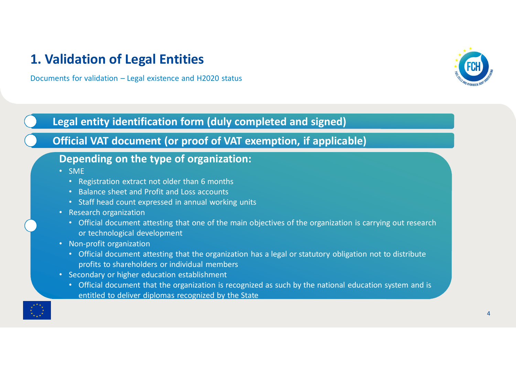Documents for validation – Legal existence and H2020 status



#### **Legal entity identification form (duly completed and signed)**

#### **Official VAT document (or proof of VAT exemption, if applicable)**

#### **Depending on the type of organization:**

- SME
	- Registration extract not older than 6 months
	- Balance sheet and Profit and Loss accounts
	- Staff head count expressed in annual working units
- Research organization
	- Official document attesting that one of the main objectives of the organization is carrying out research or technological development
- Non-profit organization
	- Official document attesting that the organization has a legal or statutory obligation not to distribute profits to shareholders or individual members
- Secondary or higher education establishment
	- Official document that the organization is recognized as such by the national education system and is entitled to deliver diplomas recognized by the State

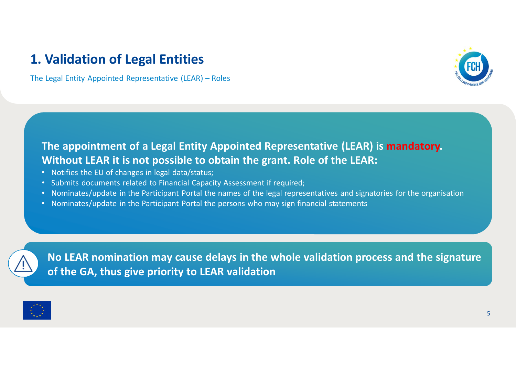The Legal Entity Appointed Representative (LEAR) – Roles



#### **The appointment of a Legal Entity Appointed Representative (LEAR) is mandatory. Without LEAR it is not possible to obtain the grant. Role of the LEAR:**

- Notifies the EU of changes in legal data/status;
- Submits documents related to Financial Capacity Assessment if required;
- Nominates/update in the Participant Portal the names of the legal representatives and signatories for the organisation
- Nominates/update in the Participant Portal the persons who may sign financial statements



**No LEAR nomination may cause delays in the whole validation process and the signature of the GA, thus give priority to LEAR validation**

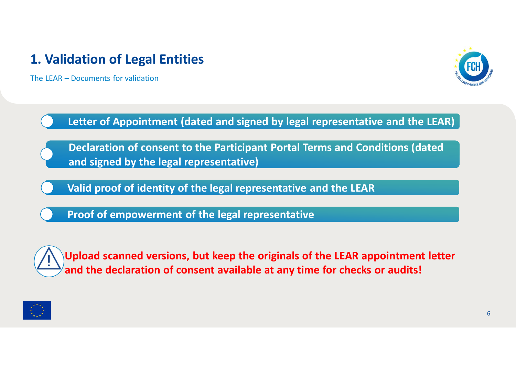The LEAR – Documents for validation



**Letter of Appointment (dated and signed by legal representative and the LEAR)**

**Declaration of consent to the Participant Portal Terms and Conditions (dated and signed by the legal representative)**

**Valid proof of identity of the legal representative and the LEAR**

**Proof of empowerment of the legal representative**



**Upload scanned versions, but keep the originals of the LEAR appointment letter and the declaration of consent available at any time for checks or audits!**

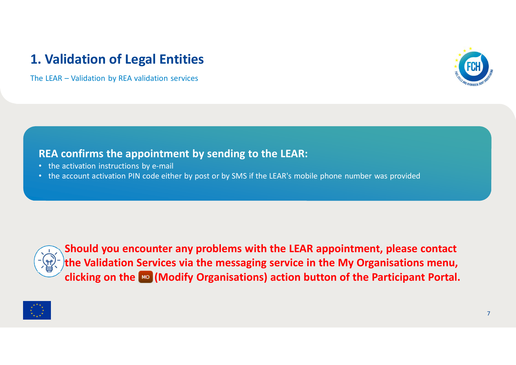The LEAR – Validation by REA validation services



#### **REA confirms the appointment by sending to the LEAR:**

- the activation instructions by e-mail
- the account activation PIN code either by post or by SMS if the LEAR's mobile phone number was provided



**Should you encounter any problems with the LEAR appointment, please contact the Validation Services via the messaging service in the My Organisations menu, clicking on the (Modify Organisations) action button of the Participant Portal.**

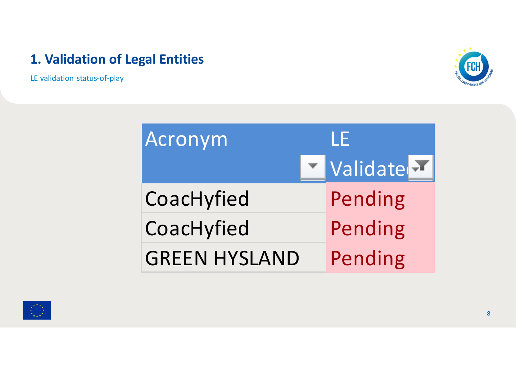LE validation status-of-play



| Acronym              | l F      |
|----------------------|----------|
|                      | Validate |
| CoacHyfied           | Pending  |
| CoacHyfied           | Pending  |
| <b>GREEN HYSLAND</b> | Pending  |

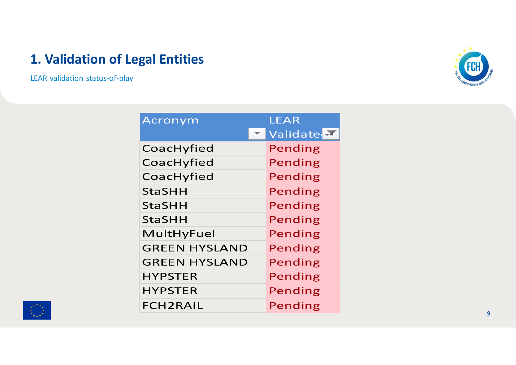LEAR validation status-of-play



| Acronym              | LEAR     |
|----------------------|----------|
|                      | Validate |
| CoacHyfied           | Pending  |
| CoacHyfied           | Pending  |
| CoacHyfied           | Pending  |
| StaSHH               | Pending  |
| <b>StaSHH</b>        | Pending  |
| StaSHH               | Pending  |
| MultHyFuel           | Pending  |
| <b>GREEN HYSLAND</b> | Pending  |
| <b>GREEN HYSLAND</b> | Pending  |
| <b>HYPSTER</b>       | Pending  |
| <b>HYPSTER</b>       | Pending  |
| FCH2RAIL             | Pending  |

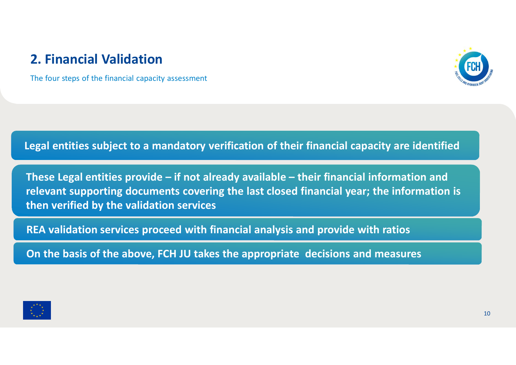The four steps of the financial capacity assessment



#### **Legal entities subject to a mandatory verification of their financial capacity are identified**

**These Legal entities provide – if not already available – their financial information and relevant supporting documents covering the last closed financial year; the information is then verified by the validation services**

**REA validation services proceed with financial analysis and provide with ratios**

**On the basis of the above, FCH JU takes the appropriate decisions and measures**

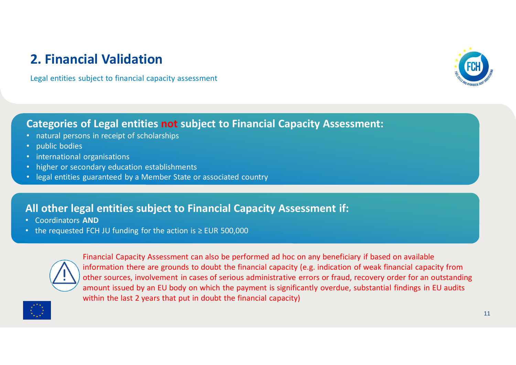Legal entities subject to financial capacity assessment



#### **Categories of Legal entities not subject to Financial Capacity Assessment:**

- natural persons in receipt of scholarships
- public bodies
- international organisations
- higher or secondary education establishments
- legal entities guaranteed by a Member State or associated country

#### **All other legal entities subject to Financial Capacity Assessment if:**

- Coordinators **AND**
- the requested FCH JU funding for the action is ≥ EUR 500,000



Financial Capacity Assessment can also be performed ad hoc on any beneficiary if based on available information there are grounds to doubt the financial capacity (e.g. indication of weak financial capacity from other sources, involvement in cases of serious administrative errors or fraud, recovery order for an outstanding amount issued by an EU body on which the payment is significantly overdue, substantial findings in EU audits within the last 2 years that put in doubt the financial capacity)

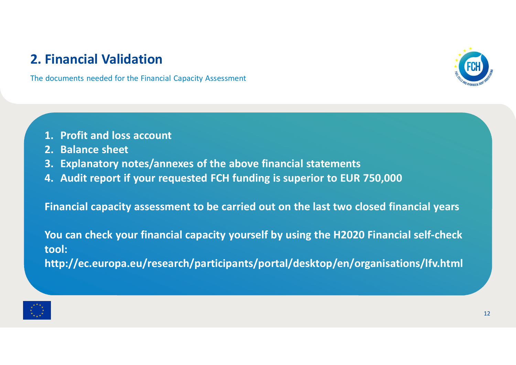The documents needed for the Financial Capacity Assessment



- **1. Profit and loss account**
- **2. Balance sheet**
- **3. Explanatory notes/annexes of the above financial statements**
- **4. Audit report if your requested FCH funding is superior to EUR 750,000**

**Financial capacity assessment to be carried out on the last two closed financial years**

**You can check your financial capacity yourself by using the H2020 Financial self-check tool:**

**http://ec.europa.eu/research/participants/portal/desktop/en/organisations/lfv.html**

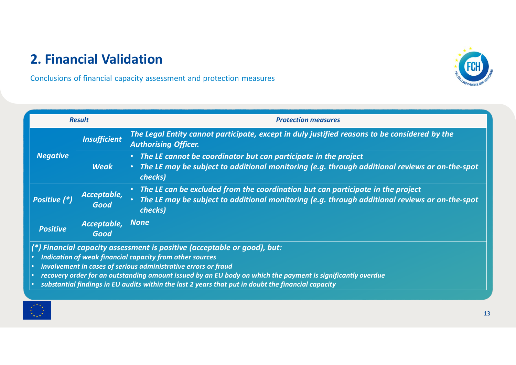Conclusions of financial capacity assessment and protection measures



- *involvement in cases of serious administrative errors or fraud*
- *recovery order for an outstanding amount issued by an EU body on which the payment is significantly overdue*
- *substantial findings in EU audits within the last 2 years that put in doubt the financial capacity*

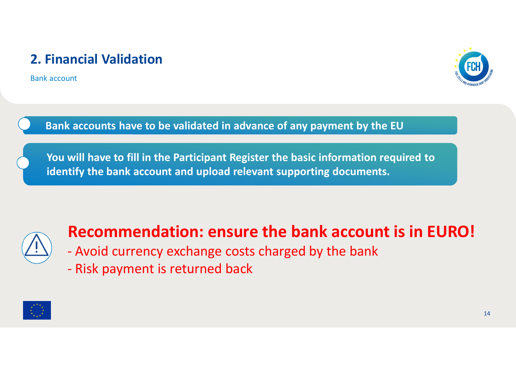Bank account



**Bank accounts have to be validated in advance of any payment by the EU**

**You will have to fill in the Participant Register the basic information required to identify the bank account and upload relevant supporting documents.**



# **Recommendation: ensure the bank account is in EURO!**

- Avoid currency exchange costs charged by the bank
- Risk payment is returned back

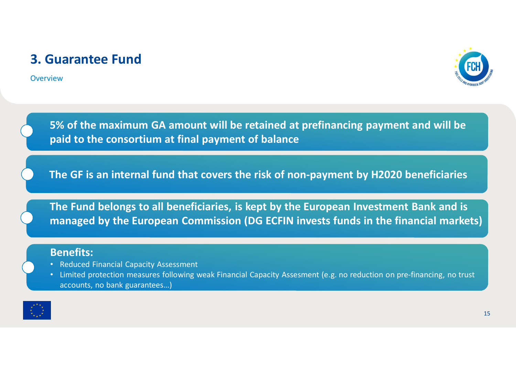#### **3. Guarantee Fund**

**Overview** 



**5% of the maximum GA amount will be retained at prefinancing payment and will be paid to the consortium at final payment of balance**

**The GF is an internal fund that covers the risk of non-payment by H2020 beneficiaries**

**The Fund belongs to all beneficiaries, is kept by the European Investment Bank and is managed by the European Commission (DG ECFIN invests funds in the financial markets)**

#### **Benefits:**

- Reduced Financial Capacity Assessment
- Limited protection measures following weak Financial Capacity Assesment (e.g. no reduction on pre-financing, no trust accounts, no bank guarantees…)

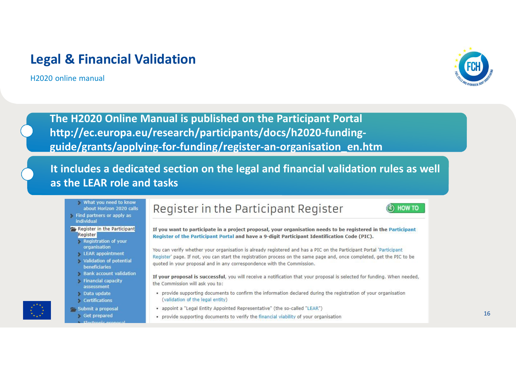#### **Legal & Financial Validation**

H2020 online manual



HOW TO

**The H2020 Online Manual is published on the Participant Portal http://ec.europa.eu/research/participants/docs/h2020-fundingguide/grants/applying-for-funding/register-an-organisation\_en.htm**

**It includes a dedicated section on the legal and financial validation rules as well as the LEAR role and tasks**

- What you need to know about Horizon 2020 calls Find partners or apply as
- individual Register in the Participant
	- Register
	- Registration of your organisation
	- LEAR appointment
	- **Validation of potential** beneficiaries
	- **Bank account validation**
	- **Financial capacity** assessment
	- Data update
	- **Certifications**
- Submit a proposal Get prepared
	-

#### Register in the Participant Register



You can verify whether your organisation is already registered and has a PIC on the Participant Portal 'Participant Register' page. If not, you can start the registration process on the same page and, once completed, get the PIC to be quoted in your proposal and in any correspondence with the Commission.

If your proposal is successful, you will receive a notification that your proposal is selected for funding. When needed, the Commission will ask you to:

- . provide supporting documents to confirm the information declared during the registration of your organisation (validation of the legal entity)
- appoint a "Legal Entity Appointed Representative" (the so-called "LEAR")
- provide supporting documents to verify the financial viability of your organisation